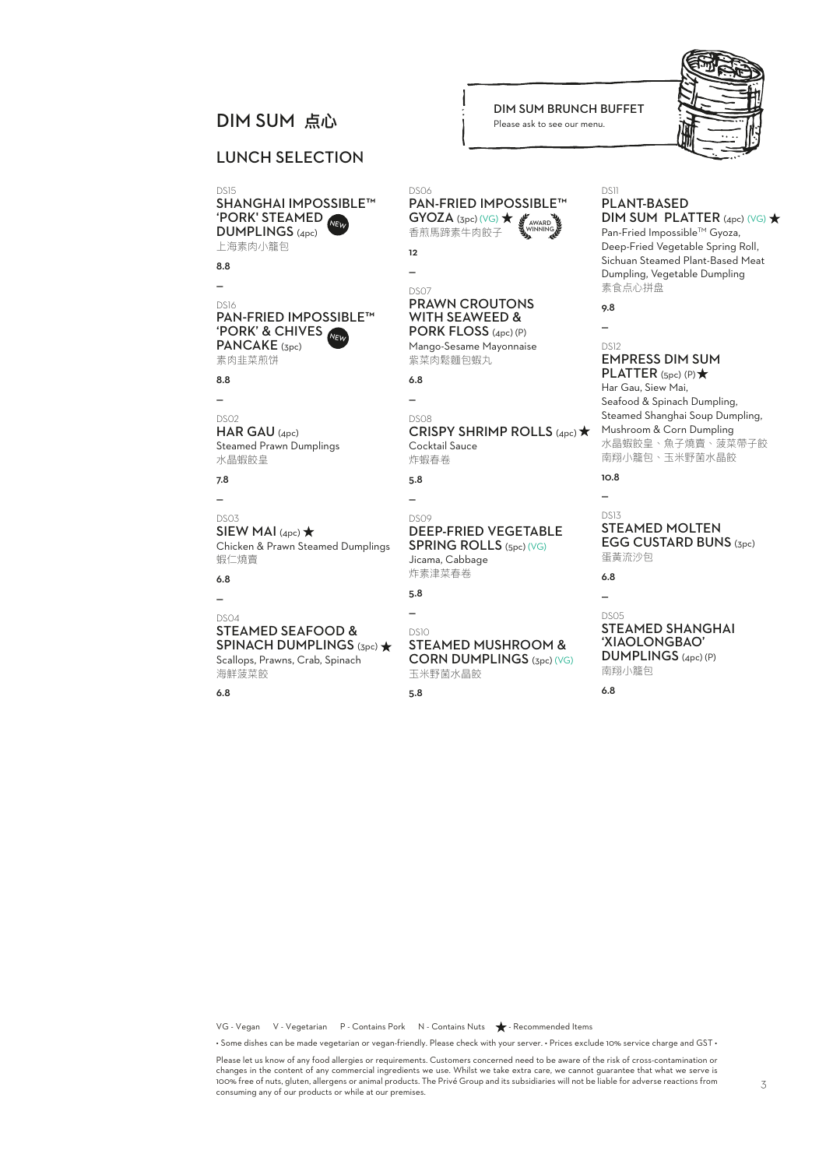### LUNCH SELECTION

DS15 SHANGHAI IMPOSSIBLE™<br>'PORK' STEAMED DUMPLINGS (4pc) 上海素肉小籠包 NEW

8.8 —

#### DS16<br>PAN-FRIED IMPOSSIBLE<sup>TM</sup> PAN-FRIED IMPOSSIBLE™<br>'PORK' & CHIVES<br>PORK! ! 'F PANCAKE (3pc) 素肉韭菜煎饼

8.8

—

DS02 HAR GAU (4pc) Steamed Prawn Dumplings 水晶蝦餃皇

7.8

#### — DS03 SIEW MAI  $(4pc)$   $\star$ Chicken & Prawn Steamed Dumplings 蝦仁燒賣

6.8 —

#### DS04 STEAMED SEAFOOD & SPINACH DUMPLINGS (3pc) \* Scallops, Prawns, Crab, Spinach

海鮮菠菜餃

6.8

# **DIM SUM BRUNCH BUFFET**<br>
Please ask to see our menu.

Please ask to see our menu.



#### DS06 PAN-FRIED IMPOSSIBLE™  $GYOZA$  (3pc) (VG)  $\bigstar$ 香煎馬蹄素牛肉餃子 AWARD WINNING

**12** —

#### DS07 PRAWN CROUTONS WITH SEAWEED & PORK FLOSS (4pc) (P)

Mango-Sesame Mayonnaise 紫菜肉鬆麵包蝦丸.

6.8  $\overline{\phantom{a}}$ 

## DS08

CRISPY SHRIMP ROLLS (4pc) \* Cocktail Sauce 炸蝦春卷

5.8

# DS09

DEEP-FRIED VEGETABLE SPRING ROLLS (5pc) (VG)

Jicama, Cabbage 炸素津菜春卷

```
5.8
```
 $\overline{\phantom{a}}$ 

—

### DS10

STEAMED MUSHROOM & CORN DUMPLINGS (3pc) (VG)

玉米野菌水晶餃

5.8

#### DS11 PLANT-BASED

DIM SUM PLATTER  $(4pc)$  (VG)  $\star$ 

Pan-Fried Impossible™ Gyoza, Deep-Fried Vegetable Spring Roll, Sichuan Steamed Plant-Based Meat Dumpling, Vegetable Dumpling 素食点心拼盘

9.8 —

#### DS12 EMPRESS DIM SUM PLATTER  $(Spc)$  (P)  $\star$

Har Gau, Siew Mai, Seafood & Spinach Dumpling, Steamed Shanghai Soup Dumpling, Mushroom & Corn Dumpling 水晶蝦餃皇、魚子燒賣、菠菜帶子餃 南翔小籠包、玉米野菌水晶餃

10.8  $\overline{a}$ 

#### DS13 STEAMED MOLTEN EGG CUSTARD BUNS (3pc) 蛋黃流沙包

6.8 —

#### DS05 STEAMED SHANGHAI 'XIAOLONGBAO' DUMPLINGS (4pc) (P) 南翔小籠包

6.8

VG - Vegan V - Vegetarian P - Contains Pork N - Contains Nuts  $\bigstar$  - Recommended Items

• Some dishes can be made vegetarian or vegan-friendly. Please check with your server. • Prices exclude 10% service charge and GST •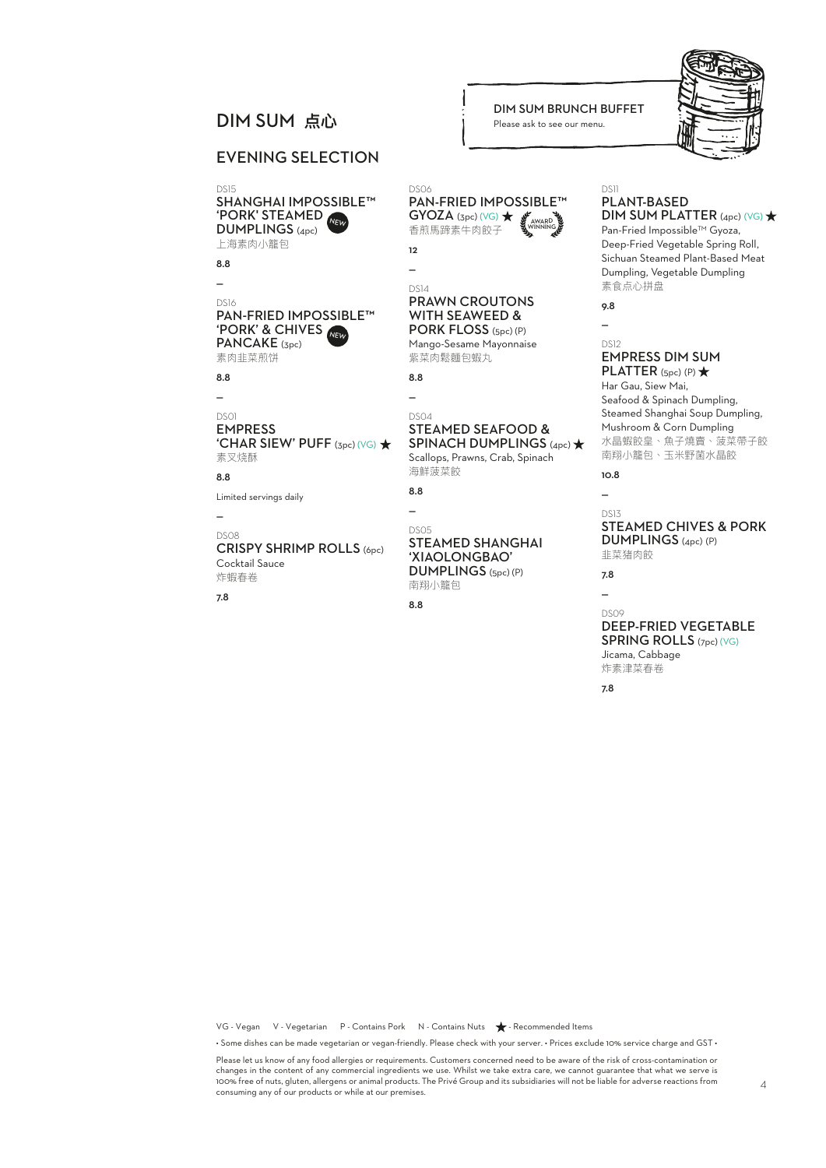# **DIM SUM BRUNCH BUFFET**<br>
Please ask to see our menu.

### EVENING SELECTION

'PORK' STEAMED DS15 SHANGHAI IMPOSSIBLE™ DUMPLINGS (4pc) 上海素肉小籠包

8.8

—

#### 'PORK' & CHIVES NEW DS16 PAN-FRIED IMPOSSIBLE™ PANCAKE (3pc)

素肉韭菜煎饼

8.8

#### —

DS01 EMPRESS 'CHAR SIEW' PUFF (3pc) (VG) 素叉烧酥

8.8

Limited servings daily

#### — DS08

#### CRISPY SHRIMP ROLLS (6pc) Cocktail Sauce 炸蝦春卷

7.8

#### DS06 PAN-FRIED IMPOSSIBLE™  $GYOZA$  (3pc) (VG)  $\bigstar$ 香煎馬蹄素牛肉餃子 AWARD WINNING

Please ask to see our menu.

12 —

#### DS14 PRAWN CROUTONS WITH SEAWEED & PORK FLOSS (5pc) (P)

Mango-Sesame Mayonnaise 紫菜肉鬆麵包蝦丸

8.8 —

#### DS04 STEAMED SEAFOOD & SPINACH DUMPLINGS (4pc)  $\bigstar$

Scallops, Prawns, Crab, Spinach 海鮮菠菜餃

8.8 —

DS05

#### STEAMED SHANGHAI 'XIAOLONGBAO' DUMPLINGS (5pc) (P) 南翔小籠包

8.8

#### DS11 PLANT-BASED

### $DIM$  SUM PLATTER (4pc) (VG)  $\star$

Pan-Fried Impossible™ Gyoza, Deep-Fried Vegetable Spring Roll, Sichuan Steamed Plant-Based Meat Dumpling, Vegetable Dumpling 素食点心拼盘

9.8  $\overline{a}$ 

#### DS<sub>12</sub> EMPRESS DIM SUM PLATTER  $(Spc)$  (P)  $\bigstar$

Har Gau, Siew Mai, Seafood & Spinach Dumpling, Steamed Shanghai Soup Dumpling, Mushroom & Corn Dumpling 水晶蝦餃皇、魚子燒賣、菠菜帶子餃 南翔小籠包、玉米野菌水晶餃

10.8  $\overline{a}$ 

#### DS13 STEAMED CHIVES & PORK DUMPLINGS (4pc) (P) 韭菜猪肉餃

7.8

#### — DS09 DEEP-FRIED VEGETABLE

SPRING ROLLS (7pc) (VG) Jicama, Cabbage 炸素津菜春卷

7.8

VG - Vegan V - Vegetarian P - Contains Pork N - Contains Nuts  $\bigstar$  - Recommended Items

• Some dishes can be made vegetarian or vegan-friendly. Please check with your server. • Prices exclude 10% service charge and GST •

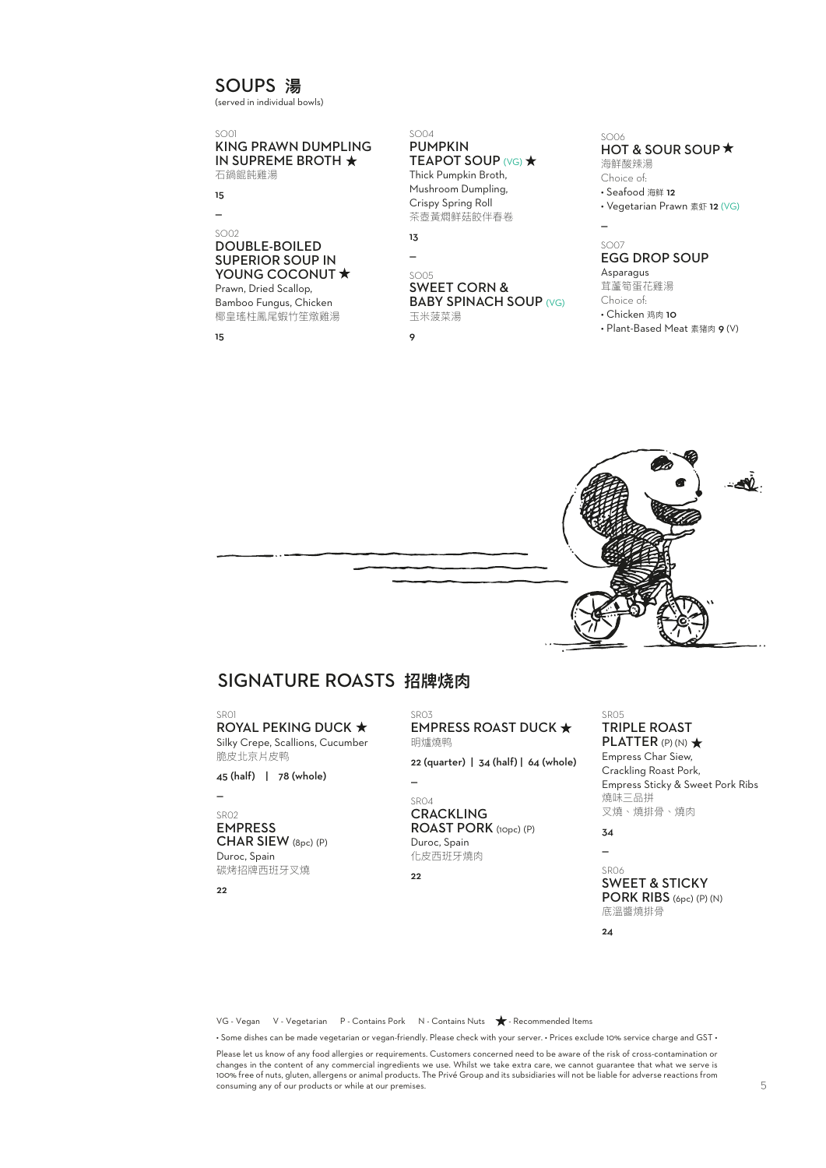### SOUPS **湯**

(served in individual bowls)

#### SO01 KING PRAWN DUMPLING IN SUPREME BROTH 石鍋餛飩雞湯

15  $\overline{a}$ 

#### SO02 DOUBLE-BOILED SUPERIOR SOUP IN YOUNG COCONUT \* Prawn, Dried Scallop,

Bamboo Fungus, Chicken 椰皇瑤柱鳳尾蝦竹笙燉雞湯

15

#### SO04 PUMPKIN **TEAPOT SOUP (VG) ★**

Thick Pumpkin Broth, Mushroom Dumpling, Crispy Spring Roll 茶壺黃燜鲜菇餃伴春卷

## 13

—

### SO05

#### SWEET CORN & **BABY SPINACH SOUP (VG)** 玉米菠菜湯

 $\circ$ 

#### SO06 HOT & SOUR SOUP \* 海鮮酸辣湯

Choice of: • Seafood 海鲜 12 • Vegetarian Prawn 素虾 12 (VG)

#### SO07 EGG DROP SOUP

Asparagus 茸蘆筍蛋花雞湯

—

Choice of:

• Chicken 鸡肉 10

• Plant-Based Meat 素猪肉 9 (V)



### SIGNATURE ROASTS **招牌烧肉**

SDO1

**ROYAL PEKING DUCK ★** Silky Crepe, Scallions, Cucumber 脆皮北京片皮鸭

45 (half) | 78 (whole)

—

#### SR02 EMPRESS CHAR SIEW (8pc) (P)

Duroc, Spain 碳烤招牌西班牙叉燒

 $22$ 

SDO3 EMPRESS ROAST DUCK ★ 明爐燒鸭 22 (quarter) | 34 (half) | 64 (whole)

 $\overline{a}$ 

#### SR04 **CRACKLING** ROAST PORK (10pc) (P) Duroc, Spain 化皮西班牙燒肉

22

TRIPLE ROAST PLATTER (P) (N)  $\star$ Empress Char Siew,

Crackling Roast Pork, Empress Sticky & Sweet Pork Ribs 燒味三品拼 叉燒、燒排骨、燒肉

34 —

SDO5

#### SR06 SWEET & STICKY PORK RIBS (6pc) (P) (N) 底溫醬燒排骨

 $24$ 

VG - Vegan V - Vegetarian P - Contains Pork N - Contains Nuts  $\bigstar$  - Recommended Items

• Some dishes can be made vegetarian or vegan-friendly. Please check with your server. • Prices exclude 10% service charge and GST •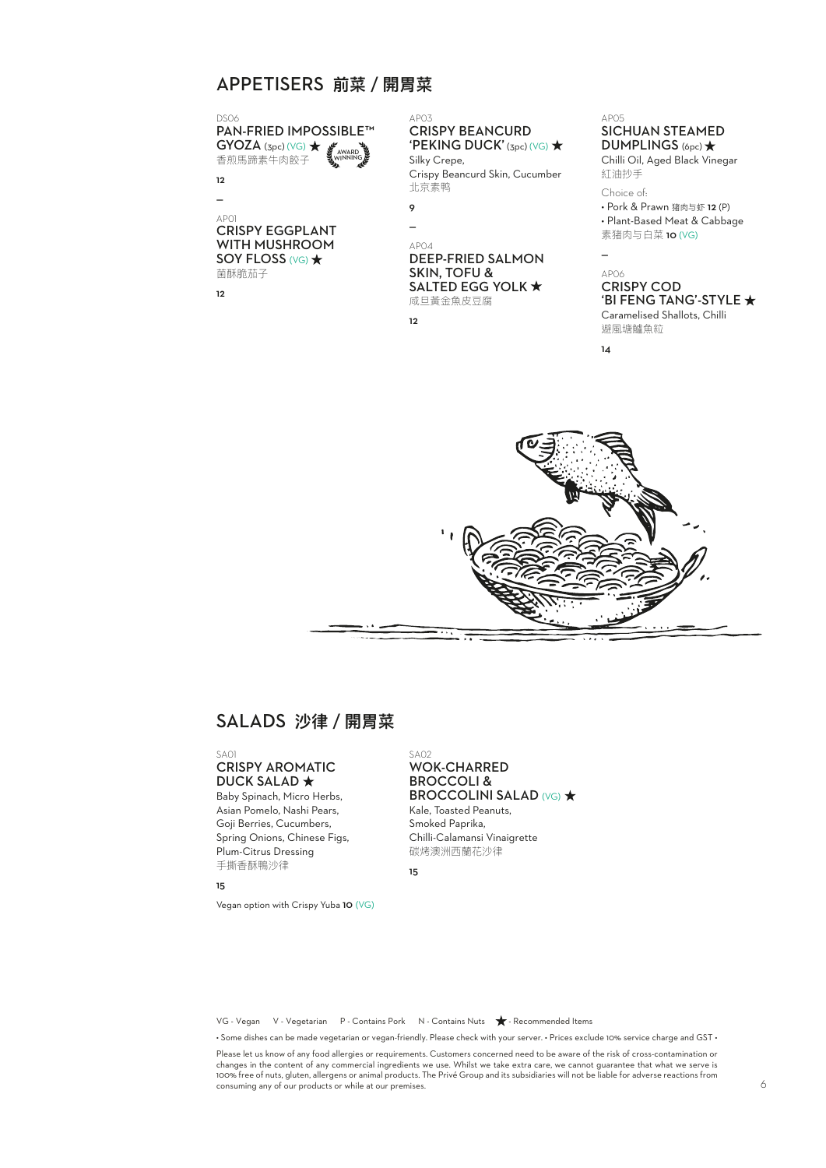### APPETISERS **前菜/開胃菜**

DS06 PAN-FRIED IMPOSSIBLE™  $GYOZA$  (3pc) (VG)  $\bigstar$ 香煎馬蹄素牛肉餃子 AWARD WINNING

**12**  $\overline{a}$ 

AP01 CRISPY EGGPLANT WITH MUSHROOM SOY FLOSS (VG) \* 菌酥脆茄子

12

AP03 CRISPY BEANCURD 'PEKING DUCK' (3pc) (VG)  $\star$ Silky Crepe,

Crispy Beancurd Skin, Cucumber 北京素鸭

9 —

> AP04 DEEP-FRIED SALMON SKIN, TOFU & SALTED EGG YOLK  $\star$ 咸旦黃金魚皮豆腐

12

AP05 SICHUAN STEAMED DUMPLINGS (6pc) \*

Chilli Oil, Aged Black Vinegar 紅油抄手

Choice of:

• Pork & Prawn 猪肉与虾 12 (P) • Plant-Based Meat & Cabbage 素猪肉与白菜 10 (VG)

AP06 CRISPY COD 'BI FENG TANG'-STYLE

Caramelised Shallots, Chilli 避風塘鱸魚粒

14

—



## SALADS **沙律/開胃菜**

#### $S_{\Delta}$ 01 CRISPY AROMATIC **DUCK SALAD ★**

Baby Spinach, Micro Herbs, Asian Pomelo, Nashi Pears, Goji Berries, Cucumbers, Spring Onions, Chinese Figs, Plum-Citrus Dressing 手撕香酥鴨沙律

15

Vegan option with Crispy Yuba 10 (VG)

#### SA02 WOK-CHARRED BROCCOLI & **BROCCOLINI SALAD (VG) ★** Kale, Toasted Peanuts, Smoked Paprika, Chilli-Calamansi Vinaigrette 碳烤澳洲西蘭花沙律

15

VG - Vegan V - Vegetarian P - Contains Pork N - Contains Nuts  $\bigstar$  - Recommended Items

• Some dishes can be made vegetarian or vegan-friendly. Please check with your server. • Prices exclude 10% service charge and GST •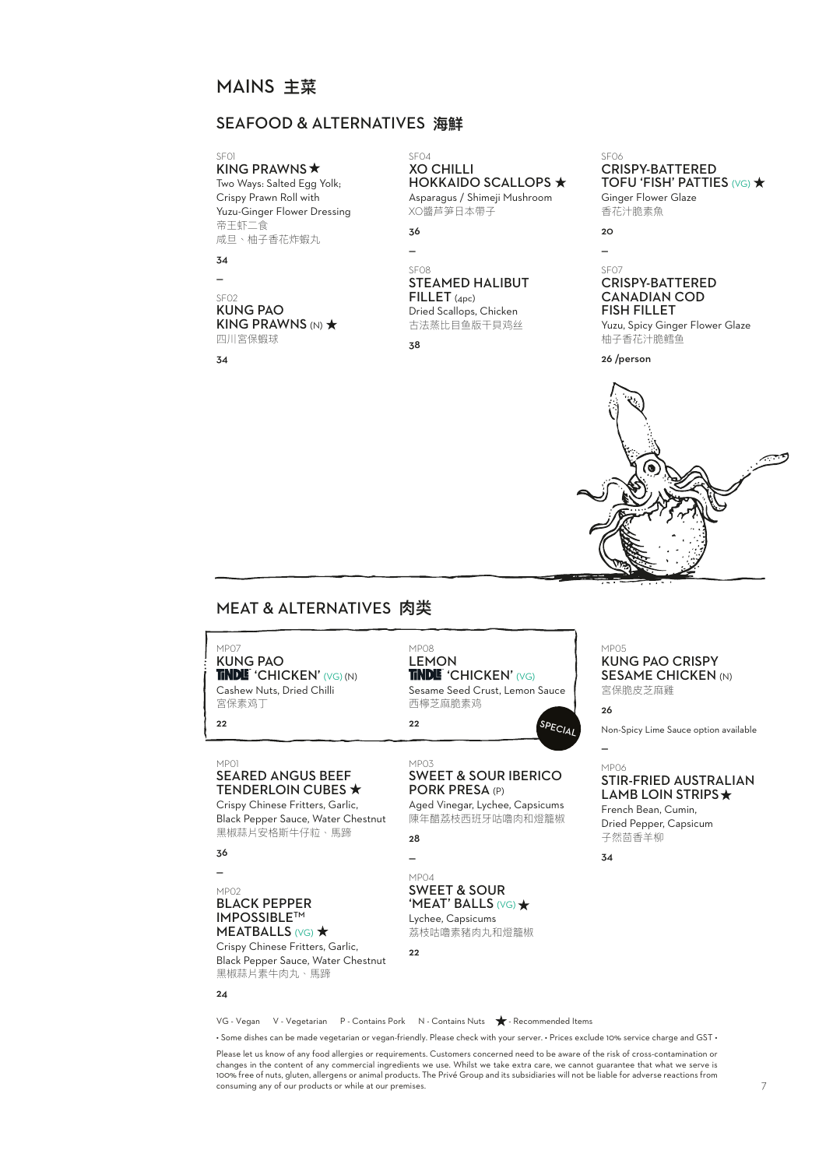### MAINS **主菜**

### SEAFOOD & ALTERNATIVES **海鮮**

KING PRAWNS  $\star$ Two Ways: Salted Egg Yolk; Crispy Prawn Roll with Yuzu-Ginger Flower Dressing 帝王虾二食 咸旦、柚子香花炸蝦丸

**z**<sub>4</sub>

 $\overline{\phantom{a}}$ 

### SF02

KUNG PAO KING PRAWNS  $(N)$   $\star$ 四川宮保蝦球

34

#### SF04 XO CHILLI **HOKKAIDO SCALLOPS ★**

Asparagus / Shimeji Mushroom XO醬芦笋日本帶子

| 36 |  |
|----|--|
|    |  |

### SF08 STEAMED HALIBUT FILLET (4pc)

Dried Scallops, Chicken 古法蒸比目鱼版干貝鸡丝

38

#### SF06 CRISPY-BATTERED TOFU 'FISH' PATTIES (VG)  $\star$ Ginger Flower Glaze 香花汁脆素魚

#### $20$ —

#### SF07 CRISPY-BATTERED CANADIAN COD FISH FILLET

Yuzu, Spicy Ginger Flower Glaze 柚子香花汁脆鳕鱼

26 /person



### MEAT & ALTERNATIVES **肉类**

MP<sub>07</sub> KUNG PAO TINDLE 'CHICKEN' (VG) (N) Cashew Nuts, Dried Chilli 宮保素鸡丁

22

#### MP01 SEARED ANGUS BEEF TENDERLOIN CUBES \*

Crispy Chinese Fritters, Garlic, Black Pepper Sauce, Water Chestnut 黑椒蒜片安格斯牛仔粒、馬蹄

36 —

#### MP02

 $24$ 

#### BLACK PEPPER IMPOSSIBLETM MEATBALLS (VG)  $\star$

Crispy Chinese Fritters, Garlic, Black Pepper Sauce, Water Chestnut 黑椒蒜片素牛肉丸、馬蹄

MP08 LEMON TINDLE 'CHICKEN' (VG) Sesame Seed Crust, Lemon Sauce

西檸芝麻脆素鸡 22  $\mathsf{SPE}_{\mathsf{C}/\mathsf{A}}$ 

SWEET & SOUR IBERICO PORK PRESA (P) Aged Vinegar, Lychee, Capsicums

陳年醋荔枝西班牙咕嚕肉和燈籠椒

28 —

 $22$ 

MP03

#### MP04 SWEET & SOUR 'MEAT' BALLS (VG) Lychee, Capsicums

荔枝咕嚕素豬肉丸和燈籠椒



26

—

Non-Spicy Lime Sauce option available

### MP06 STIR-FRIED AUSTRALIAN

LAMB LOIN STRIPS  $\star$ French Bean, Cumin, Dried Pepper, Capsicum 子然茴香羊柳

34

VG - Vegan V - Vegetarian P - Contains Pork N - Contains Nuts  $\bigstar$  - Recommended Items

• Some dishes can be made vegetarian or vegan-friendly. Please check with your server. • Prices exclude 10% service charge and GST •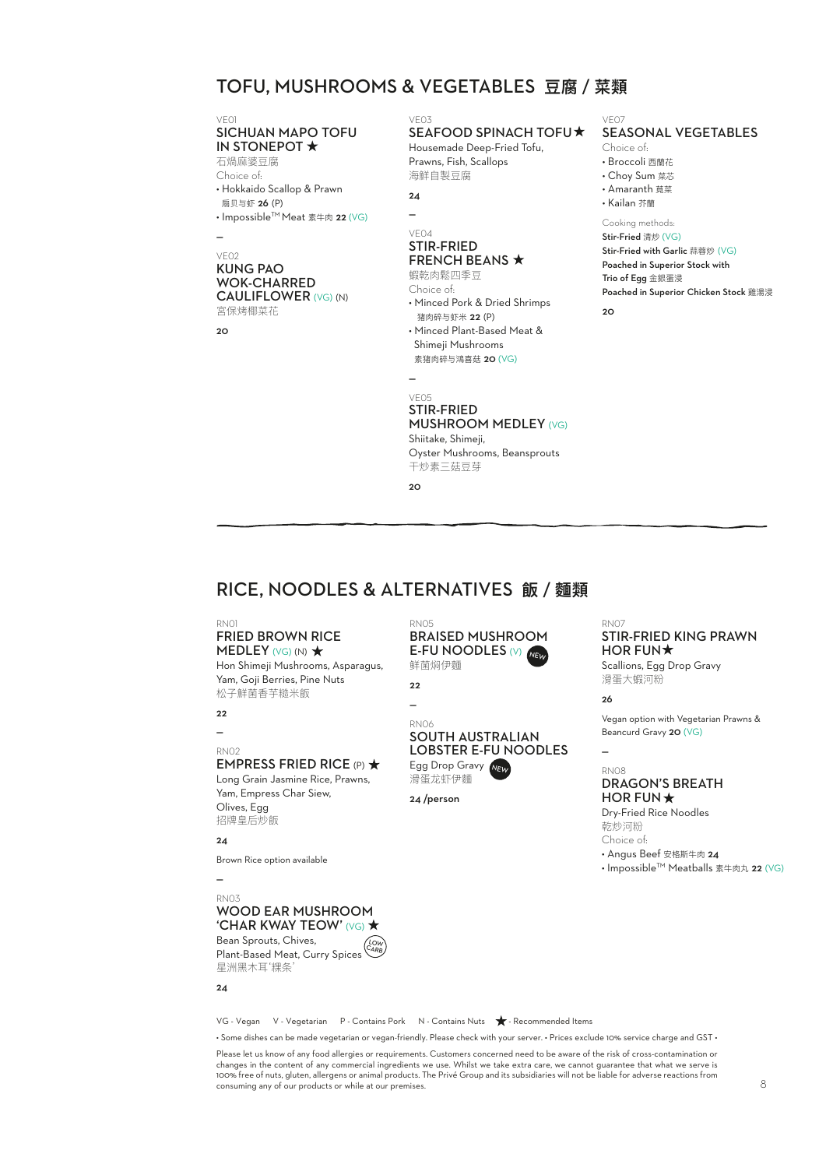### TOFU, MUSHROOMS & VEGETABLES **豆腐/菜類**

### VE01<br>**SICHUAN MAPO TOFU** IN STONEPOT \* 石煱麻婆豆腐

Choice of:

• Hokkaido Scallop & Prawn 扇贝与虾 26 (P)

• Impossible<sup>™</sup> Meat 素牛肉 22 (VG)

#### — VE02

#### KUNG PAO WOK-CHARRED CAULIFLOWER (VG) (N) 宮保烤椰菜花

 $20$ 

### VE03

### SEAFOOD SPINACH TOFU

Housemade Deep-Fried Tofu, Prawns, Fish, Scallops 海鮮自製豆腐

 $\overline{a}$ VE04

#### STIR-FRIED FRENCH BEANS  $\star$

蝦乾肉鬆四季豆 Choice of: • Minced Pork & Dried Shrimps 猪肉碎与虾米 22 (P) • Minced Plant-Based Meat &

 Shimeji Mushrooms 素猪肉碎与鴻喜菇 20 (VG)

VE05 STIR-FRIED MUSHROOM MEDLEY (VG) Shiitake, Shimeji, Oyster Mushrooms, Beansprouts 干炒素三菇豆芽

 $20$ 

—

#### VE07 SEASONAL VEGETABLES

Choice of:

- Broccoli 西蘭花
- Choy Sum 菜芯
- Amaranth 莧菜
- Kailan 芥蘭

#### Cooking methods: Stir-Fried 清炒 (VG)

Stir-Fried with Garlic 蒜蓉炒 (VG) Poached in Superior Stock with Trio of Egg 金銀蛋浸 Poached in Superior Chicken Stock 雞湯浸

20

## RICE, NOODLES & ALTERNATIVES **飯/麵類**

#### RN01

#### FRIED BROWN RICE MEDLEY  $(VG)$  (N)  $\star$ Hon Shimeji Mushrooms, Asparagus,

Yam, Goji Berries, Pine Nuts 松子鮮菌香芋糙米飯

22

### —

#### RN02 EMPRESS FRIED RICE (P)  $\star$

Long Grain Jasmine Rice, Prawns, Yam, Empress Char Siew, Olives, Egg 招牌皇后炒飯

#### $24$

Brown Rice option available

### —

#### RN03 WOOD EAR MUSHROOM 'CHAR KWAY TEOW' (VG) ★

Bean Sprouts, Chives, Plant-Based Meat, Curry Spices 星洲黑木耳'粿条 LOW CARB

#### $24$

VG - Vegan V - Vegetarian P - Contains Pork N - Contains Nuts  $\bigstar$  - Recommended Items

• Some dishes can be made vegetarian or vegan-friendly. Please check with your server. • Prices exclude 10% service charge and GST •

Please let us know of any food allergies or requirements. Customers concerned need to be aware of the risk of cross-contamination or<br>changes in the content of any commercial ingredients we use. Whilst we take extra care, w 100% free of nuts, gluten, allergens or animal products. The Privé Group and its subsidiaries will not be liable for adverse reactions from consuming any of our products or while at our premises.

#### BRAISED MUSHROOM E-FU NOODLES (V) 鲜菌焖伊麵 NEW

#### 22 —

RN05

#### RN06 SOUTH AUSTRALIAN LOBSTER E-FU NOODLES Egg Drop Gravy NEW

滑蛋龙虾伊麵 24 /person

RN07

#### STIR-FRIED KING PRAWN HOR FUN $\star$

Scallions, Egg Drop Gravy 滑蛋大蝦河粉

26

—

#### Vegan option with Vegetarian Prawns & Beancurd Gravy 20 (VG)

RN08

### DRAGON'S BREATH HOR FUN  $\star$

Dry-Fried Rice Noodles 乾炒河粉 Choice of:

• Angus Beef 安格斯牛肉 24

• Impossible™ Meatballs 素牛肉丸 22 (VG)